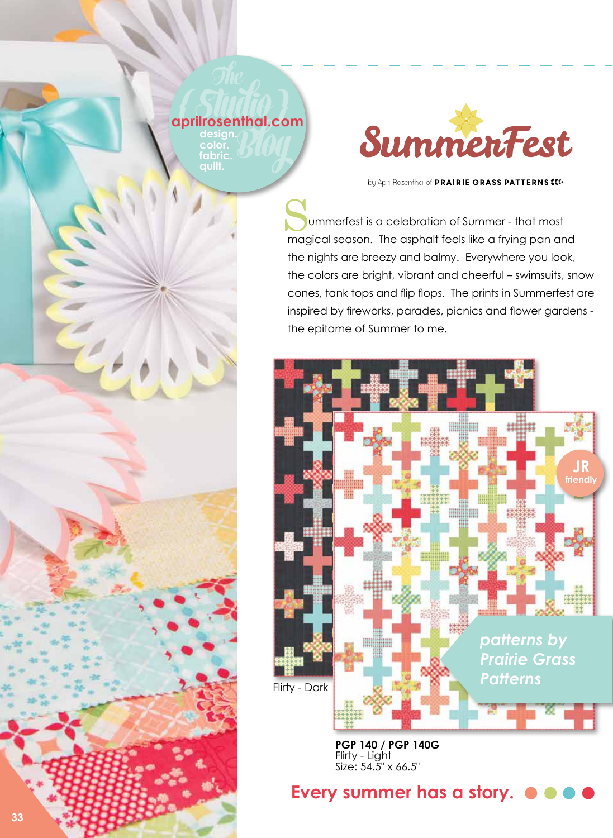## **The**<br>**Studio**<br>**aprilrosenthal.co aprilrosenthal.com**<br> **design.**<br> **budden**<br> **budden**<br> **budden**<br> **budden design.**

**color. fabric. quilt.**



by April Rosenthal of PRAIRIE GRASS PATTERNS <<<-

 ummerfest is a celebration of Summer - that most Summerfest is a celebration of Summer - that most<br>magical season. The asphalt feels like a frying pan and the nights are breezy and balmy. Everywhere you look, the colors are bright, vibrant and cheerful – swimsuits, snow cones, tank tops and flip flops. The prints in Summerfest are inspired by fireworks, parades, picnics and flower gardens the epitome of Summer to me.



**PGP 140 / PGP 140G**  Flirty - Light Size: 54.5" x 66.5"

## **Every summer has a story.**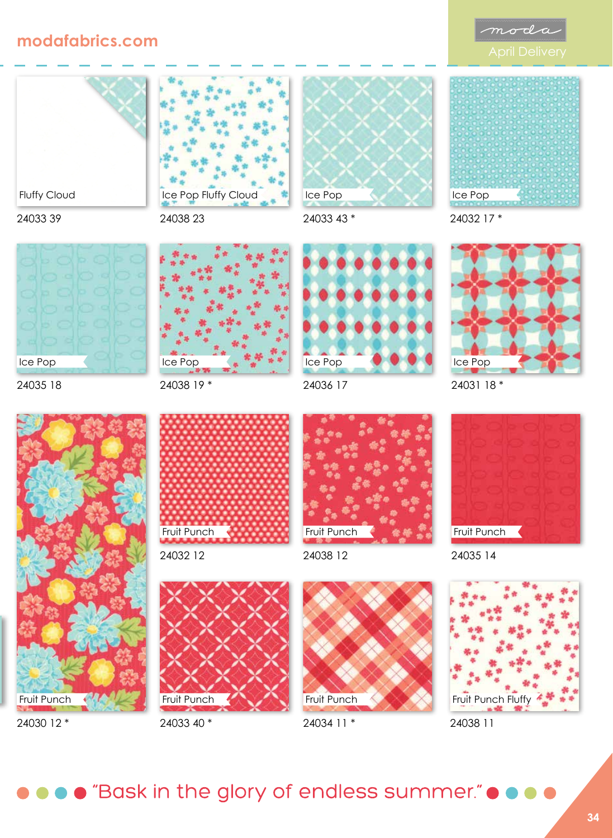



Fluffy Cloud

24033 39

24035 18

Ice Pop





Ice Pop Fluffy Cloud



24030 12 \*





24033 40 \*



24033 43 \*



24032 17 \*



24031 18 \*



24035 14





● "Bask in the glory of endless summer." ● ●

24034 11 \*

24038 12

24036 17

Ice Pop

Fruit Punch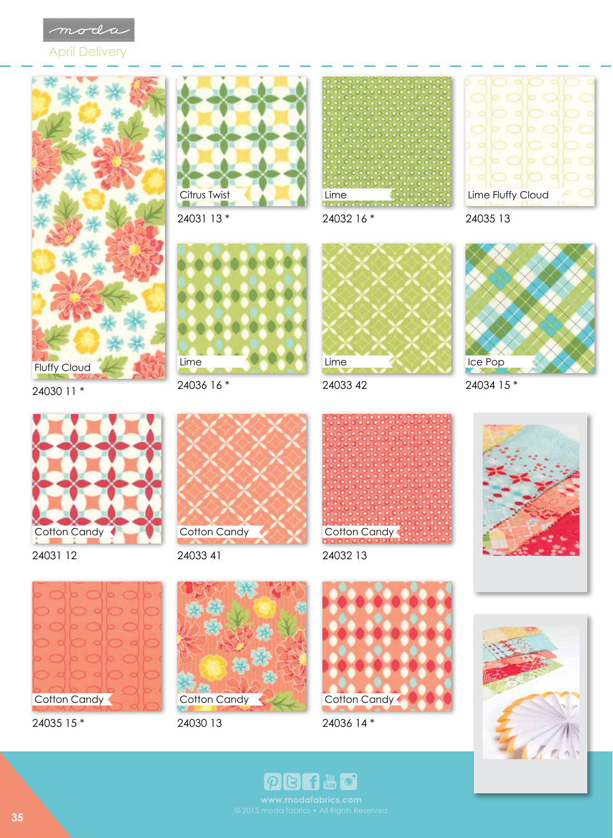

April Delivery





24031 13 \*



24032 16 \*



24035 13





24036 16 \*



24033 42



24034 15 \*





24031 12



24033 41



24032 13





24035 15 \*



24030 13





**filling** 

 $\mathbb{B}$ 

 $\vert \mathcal{P} \vert$